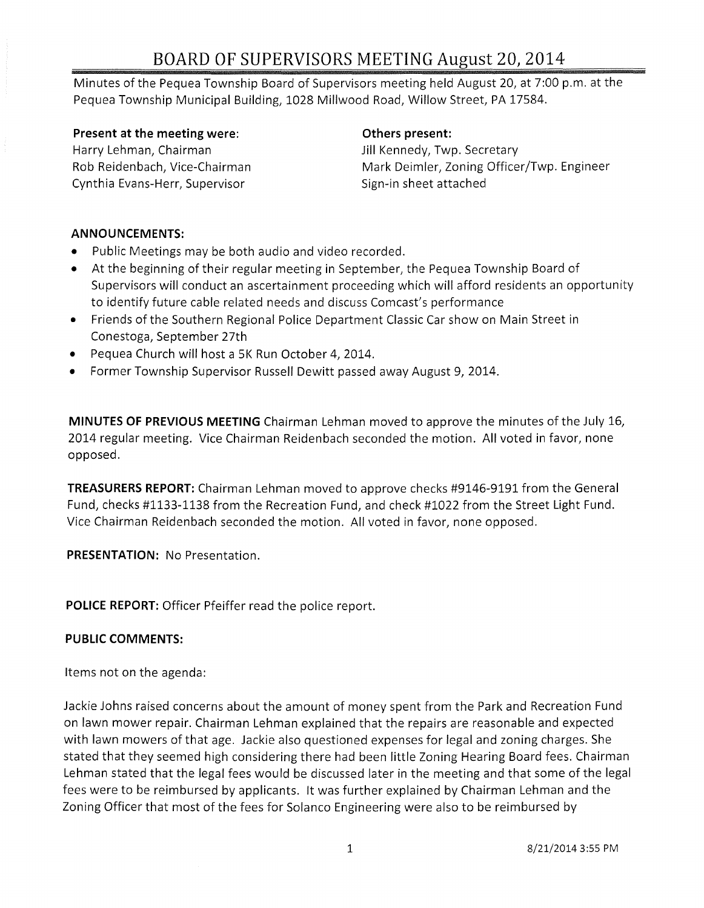# BOARD OF SUPERVISORS MEETING August 20, 2014

Minutes of the Pequea Township Board of Supervisors meeting held August 20, at 7:00 p.m. at the Pequea Township Municipal Building, 1028 Millwood Road, Willow Street, PA 17584.

#### Present at the meeting were: The meeting others present:

Harry Lehman, Chairman **Jill Kennedy, Twp. Secretary** Rob Reidenbach, Vice-Chairman Cynthia Evans-Herr, Supervisor

Mark Deimler, Zoning Officer/Twp. Engineer Sign-in sheet attached

### ANNOUNCEMENTS:

- Public Meetings may be both audio and video recorded.
- At the beginning of their regular meeting in September, the Pequea Township Board of Supervisors will conduct an ascertainment proceeding which will afford residents an opportunity to identify future cable related needs and discuss Comcast's performance
- Friends of the Southern Regional Police Department Classic Car show on Main Street in Conestoga, September 27th
- Pequea Church will host a 5K Run October 4, 2014.
- Former Township Supervisor Russell Dewitt passed away August 9, 2014.

MINUTES OF PREVIOUS MEETING Chairman Lehman moved to approve the minutes of the July 16, 2014 regular meeting. Vice Chairman Reidenbach seconded the motion. All voted in favor, none opposed.

TREASURERS REPORT: Chairman Lehman moved to approve checks #9146-9191 from the General Fund, checks #1133-1138 from the Recreation Fund, and check #1022 from the Street Light Fund. Vice Chairman Reidenbach seconded the motion. All voted in favor, none opposed.

PRESENTATION: No Presentation.

POLICE REPORT: Officer Pfeiffer read the police report.

#### PUBLIC COMMENTS:

Items not on the agenda:

Jackie Johns raised concerns about the amount of money spent from the Park and Recreation Fund on lawn mower repair. Chairman Lehman explained that the repairs are reasonable and expected with lawn mowers of that age. Jackie also questioned expenses for legal and zoning charges. She stated that they seemed high considering there had been little Zoning Hearing Board fees. Chairman Lehman stated that the legal fees would be discussed later in the meeting and that some of the legal fees were to be reimbursed by applicants. It was further explained by Chairman Lehman and the Zoning Officer that most of the fees for Solanco Engineering were also to be reimbursed by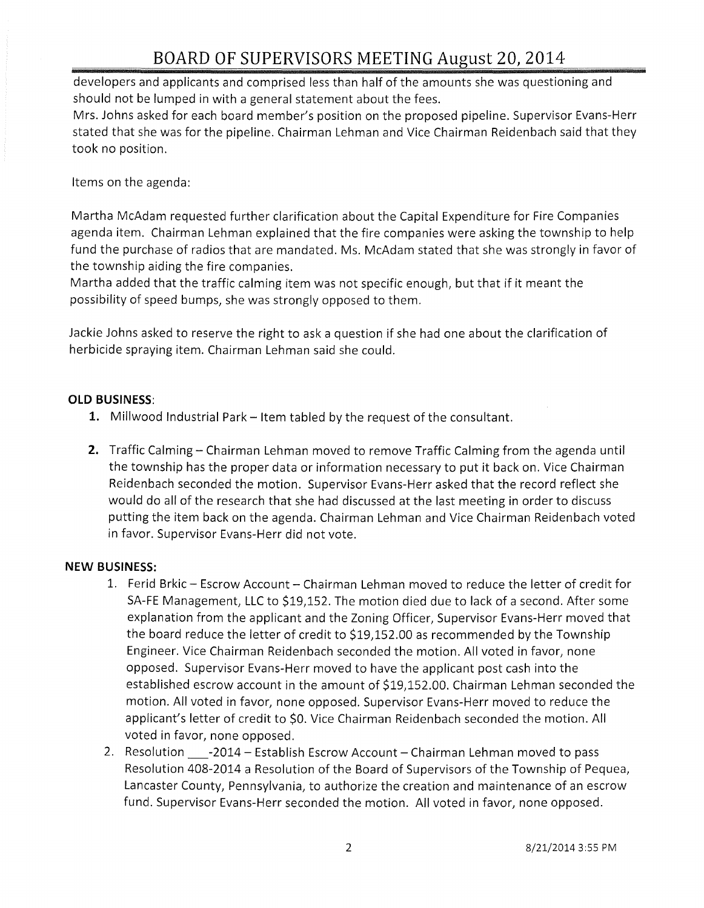# **BOARD OF SUPERVISORS MEETING August 20,2014**

developers and applicants and comprised less than half of the amounts she was questioning and should not be lumped in with a general statement about the fees.

Mrs. Johns asked for each board member's position on the proposed pipeline. Supervisor Evans-Herr stated that she was for the pipeline. Chairman Lehman and Vice Chairman Reidenbach said that they took no position.

Items on the agenda:

Martha McAdam requested further clarification about the Capital Expenditure for Fire Companies agenda item. Chairman Lehman explained that the fire companies were asking the township to help fund the purchase of radios that are mandated. Ms. McAdam stated that she was strongly in favor of the township aiding the fire companies.

Martha added that the traffic calming item was not specific enough, but that if it meant the possibility of speed bumps, she was strongly opposed to them.

Jackie Johns asked to reserve the right to ask a question if she had one about the clarification of herbicide spraying item. Chairman Lehman said she could.

## **OLD BUSINESS:**

- 1. Millwood Industrial Park Item tabled by the request of the consultant.
- **2.** Traffic Calming Chairman Lehman moved to remove Traffic Calming from the agenda until the township has the proper data or information necessary to put it back on. Vice Chairman Reidenbach seconded the motion. Supervisor Evans-Herr asked that the record reflect she would do all of the research that she had discussed at the last meeting in order to discuss putting the item back on the agenda. Chairman Lehman and Vice Chairman Reidenbach voted in favor. Supervisor Evans-Herr did not vote.

## **NEW BUSINESS:**

- 1. Ferid Brkic Escrow Account Chairman Lehman moved to reduce the letter of credit for SA-FE Management, LLC to \$19,152. The motion died due to lack of a second. After some explanation from the applicant and the Zoning Officer, Supervisor Evans-Herr moved that the board reduce the letter of credit to \$19,152.00 as recommended by the Township Engineer. Vice Chairman Reidenbach seconded the motion. All voted in favor, none opposed. Supervisor Evans-Herr moved to have the applicant post cash into the established escrow account in the amount of \$19,152.00. Chairman Lehman seconded the motion. All voted in favor, none opposed. Supervisor Evans-Herr moved to reduce the applicant's letter of credit to \$0. Vice Chairman Reidenbach seconded the motion. All voted in favor, none opposed.
- 2. Resolution \_\_\_\_-2014 Establish Escrow Account Chairman Lehman moved to pass Resolution 408-2014 a Resolution of the Board of Supervisors of the Township of Pequea, Lancaster County, Pennsylvania, to authorize the creation and maintenance of an escrow fund. Supervisor Evans-Herr seconded the motion. All voted in favor, none opposed.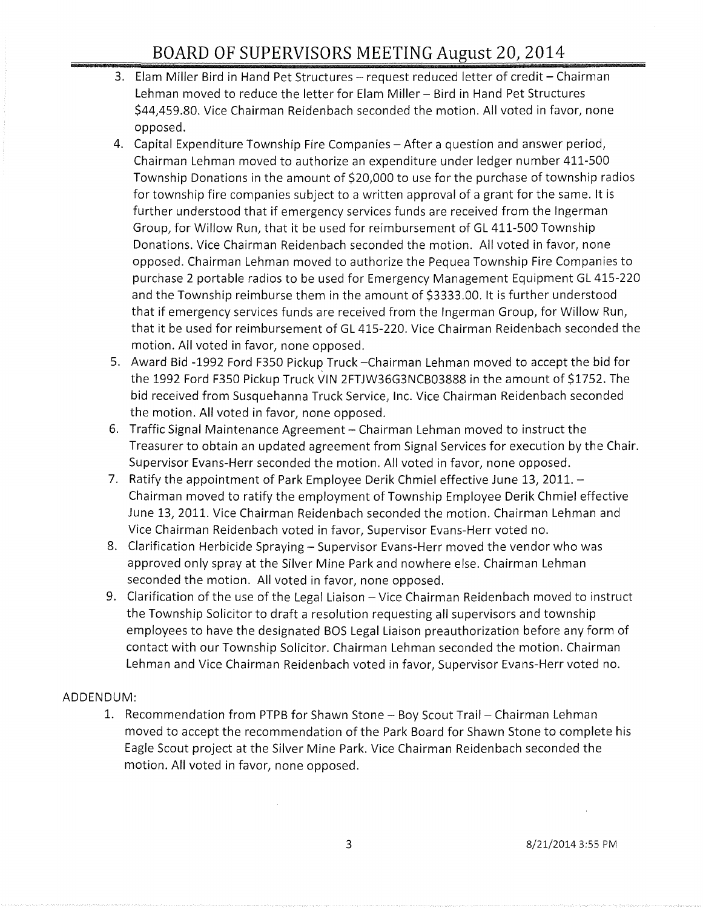- 3. Elam Miller Bird in Hand Pet Structures request reduced letter of credit Chairman Lehman moved to reduce the letter for Elam Miller - Bird in Hand Pet Structures \$44,459.80. Vice Chairman Reidenbach seconded the motion. All voted in favor, none opposed.
- 4. Capital Expenditure Township Fire Companies After a question and answer period, Chairman Lehman moved to authorize an expenditure under ledger number 411-500 Township Donations in the amount of \$20,000 to use for the purchase of township radios for township fire companies subject to a written approval of a grant for the same. It is further understood that if emergency services funds are received from the Ingerman Group, for Willow Run, that it be used for reimbursement of GL 411-500 Township Donations. Vice Chairman Reidenbach seconded the motion. All voted in favor, none opposed. Chairman Lehman moved to authorize the Pequea Township Fire Companies to purchase 2 portable radios to be used for Emergency Management Equipment GL 415-220 and the Township reimburse them in the amount of \$3333.00. It is further understood that if emergency services funds are received from the Ingerman Group, for Willow Run, that it be used for reimbursement of GL 415-220. Vice Chairman Reidenbach seconded the motion. All voted in favor, none opposed.
- 5. Award Bid -1992 Ford F350 Pickup Truck -Chairman Lehman moved to accept the bid for the 1992 Ford F350 Pickup Truck VIN 2FTJW36G3NCB03888 in the amount of \$1752. The bid received from Susquehanna Truck Service, Inc. Vice Chairman Reidenbach seconded the motion. All voted in favor, none opposed.
- 6. Traffic Signal Maintenance Agreement Chairman Lehman moved to instruct the Treasurer to obtain an updated agreement from Signal Services for execution by the Chair. Supervisor Evans-Herr seconded the motion. All voted in favor, none opposed.
- 7. Ratify the appointment of Park Employee Derik Chmiel effective June 13, 2011. -Chairman moved to ratify the employment of Township Employee Derik Chmiel effective June 13, 2011. Vice Chairman Reidenbach seconded the motion. Chairman Lehman and Vice Chairman Reidenbach voted in favor, Supervisor Evans-Herr voted no.
- 8. Clarification Herbicide Spraying Supervisor Evans-Herr moved the vendor who was approved only spray at the Silver Mine Park and nowhere else. Chairman Lehman seconded the motion. All voted in favor, none opposed.
- 9. Clarification of the use of the Legal Liaison Vice Chairman Reidenbach moved to instruct the Township Solicitor to draft a resolution requesting all supervisors and township employees to have the designated BOS Legal Liaison preauthorization before any form of contact with our Township Solicitor. Chairman Lehman seconded the motion. Chairman Lehman and Vice Chairman Reidenbach voted in favor, Supervisor Evans-Herr voted no.

## ADDENDUM:

1. Recommendation from PTPB for Shawn Stone - Boy Scout Trail - Chairman Lehman moved to accept the recommendation of the Park Board for Shawn Stone to complete his Eagle Scout project at the Silver Mine Park. Vice Chairman Reidenbach seconded the motion. All voted in favor, none opposed.

 $\bar{z}$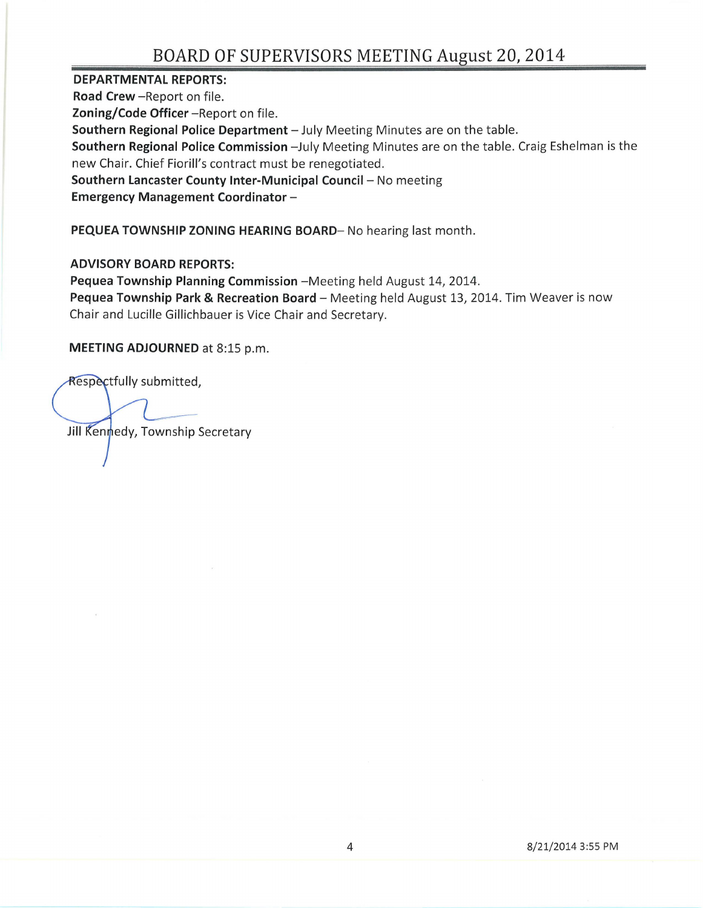# **BOARD OF SUPERVISORS MEETING August 20,2014**

**DEPARTMENTAL REPORTS:** 

**Road Crew - Report on file. Zoning/Code Officer** - Report on file. **Southern Regional Police Department** - July Meeting Minutes are on the table. **Southern Regional Police Commission** -July Meeting Minutes are on the table. Craig Eshelman is the new Chair. Chief Fiorill's contract must be renegotiated . **Southern Lancaster County Inter-Municipal Council-** No meeting **Emergency Management Coordinator -**

**PEQUEA TOWNSHIP ZONING HEARING BOARD-** No hearing last month.

**ADVISORY BOARD REPORTS:** 

Pequea Township Planning Commission - Meeting held August 14, 2014. Pequea Township Park & Recreation Board - Meeting held August 13, 2014. Tim Weaver is now Chair and Lucille Gillichbauer is Vice Chair and Secretary.

**MEETING ADJOURNED** at 8:15 p.m.

Respectfully submitted,

Jill Kennedy, Township Secretary